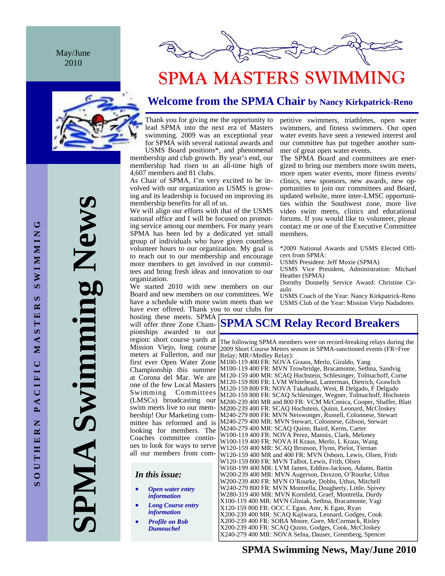May/June 2010





# **SPMA MASTERS SWIMMING**

## **Welcome from the SPMA Chair by Nancy Kirkpatrick-Reno**

Thank you for giving me the opportunity to lead SPMA into the next era of Masters swimming. 2009 was an exceptional year for SPMA with several national awards and

USMS Board positions\*, and phenomenal membership and club growth. By year's end, our membership had risen to an all-time high of 4,607 members and 81 clubs.

As Chair of SPMA, I'm very excited to be involved with our organization as USMS is growing and its leadership is focused on improving its membership benefits for all of us.

We will align our efforts with that of the USMS national office and I will be focused on promoting service among our members. For many years SPMA has been led by a dedicated yet small group of individuals who have given countless volunteer hours to our organization. My goal is to reach out to our membership and encourage more members to get involved in our committees and bring fresh ideas and innovation to our organization.

We started 2010 with new members on our Board and new members on our committees. We have a schedule with more swim meets than we have ever offered. Thank you to our clubs for

hosting these meets. SPMA will offer three Zone Championships awarded to our region: short course yards at Mission Viejo, long course meters at Fullerton, and our first ever Open Water Zone Championship this summer at Corona del Mar. We are one of the few Local Masters Swimming Committees (LMSCs) broadcasting our swim meets live to our membership! Our Marketing committee has reformed and is looking for members. The Coaches committee continues to look for ways to serve all our members from com-

*In this issue:* 

- *Open water entry information*
- *Long Course entry information*
- *Profile on Rob Dumouchel*

petitive swimmers, triathletes, open water swimmers, and fitness swimmers. Our open water events have seen a renewed interest and our committee has put together another summer of great open water events.

The SPMA Board and committees are energized to bring our members more swim meets, more open water events, more fitness events/ clinics, new sponsors, new awards, new opportunities to join our committees and Board, updated website, more inter-LMSC opportunities within the Southwest zone, more live video swim meets, clinics and educational forums. If you would like to volunteer, please contact me or one of the Executive Committee members.

\*2009 National Awards and USMS Elected Officers from SPMA:

USMS President: Jeff Moxie (SPMA)

USMS Vice President, Administration: Michael Heather (SPMA)

Dorothy Donnelly Service Award: Christine Ciraulo

USMS Coach of the Year: Nancy Kirkpatrick-Reno USMS Club of the Year: Mission Viejo Nadadores

### **SPMA SCM Relay Record Breakers**

The following SPMA members were on record-breaking relays during the 2009 Short Course Meters season in SPMA-sanctioned events (FR=Free Relay; MR=Medley Relay): M100-119 400 FR: NOVA Graass, Merlo, Giraldo, Yang M100-119 400 FR: MVN Trowbridge, Bracamonte, Sethna, Sandvig M120-159 400 MR: SCAQ Hochstein, Schlesinger, Tolmachoff, Corne M120-159 800 FR: LVM Whitehead, Lanterman, Dietrich, Grawlich M120-159 800 FR: NOVA Takahashi, West, R Delgado, F Delgado M120-159 800 FR: SCAQ Schlesinger, Wegner, Tolmachoff, Hochstein M200-239 400 MR and 800 FR: VCM McConica, Cooper, Shaffer, Blatt M200-239 400 FR: SCAQ Hochstein, Quinn, Leonard, McCloskey M240-279 800 FR: MVN Neiswonger, Russell, Colonnese, Stewart M240-279 400 MR: MVN Stewart, Colonnese, Gibson, Stewart M240-279 400 MR: SCAQ Quinn, Baird, Kerns, Carter W100-119 400 FR: NOVA Perez, Mannix, Clark, Meloney W100-119 400 FR: NOVA H Kraus, Merlo, L Kraus, Wang W120-159 400 MR: SCAQ Bronson, Flynn, Pielot, Tiernan W120-159 400 MR and 400 FR: MVN Osborn, Lewis, Olsen, Frith W120-159 800 FR: MVN Talbot, Lewis, Frith, Olsen W160-199 400 MR: LVM James, Eddins-Jackson, Adams, Battin W200-239 400 MR: MVN Augerson, Doxzon, O'Rourke, Uthus W200-239 400 FR: MVN O'Rourke, Dobbs, Uthus, Mitchell W240-279 800 FR: MVN Montrella, Dougherty, Little, Spivey W280-319 400 MR: MVN Kornfeld, Graef, Montrella, Durdy X100-119 400 MR: MVN Gliniak, Sethna, Bracamonte, Vagi X120-159 800 FR: OCC C Egan, Amr, K Egan, Ryan X200-239 400 MR: SCAQ Kajiwara, Leonard, Godges, Cook X200-239 400 FR: SOBA Moore, Gore, McCormack, Risley X200-239 400 FR: SCAQ Quinn, Godges, Cook, McCloskey X240-279 400 MR: NOVA Selna, Dauser, Greenberg, Spencer

### **SPMA Swimming News, May/June 2010**

**SPMA Swimming News** 

PMA

ing New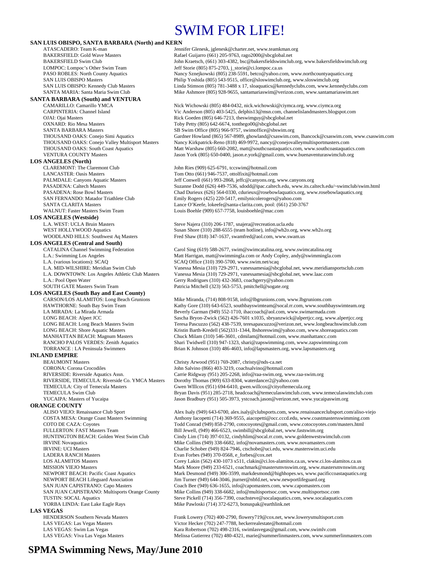## SWIM FOR LIFE!

#### **SAN LUIS OBISPO, SANTA BARBARA (North) and KERN**

**SANTA BARBARA (South) and VENTURA** 

OXNARD: Rio Mesa Masters Toby Petty (805) 642-6674, tonthego00@sbcglobal.net

### **LOS ANGELES (North)**<br>CLAREMONT: The Claremont Club

#### **LOS ANGELES (Westside)**

#### **LOS ANGELES (Central and South)**

L.A. (various locations): SCAQ<br>
L.A. MID-WILSHIRE: Meridian Swim Club<br>
Vanessa Mesia (310) 729-2971, vanessamesia@shc

**LOS ANGELES (South Bay and East County)** 

#### **INLAND EMPIRE**

BEAUMONT Masters Christy Arwood (951) 769-2087, christy@nds-ca.net CORONA: Corona Crocodiles John Salvino (866) 403-3219, coachsalvino@hotmail.com

**ORANGE COUNTY**<br>ALISO VIEJO: Renaissance Club Sport LADERA RANCH Masters **Evan Forbes (949) 370-0568, e\_forbes** @cox.net<br>
LOS ALAMITOS Masters **Example 2008** Corey Lakin (562) 430-1073 x511, clakin@ci.lo **LAS VEGAS**<br> **HENDERSON Southern Nevada Masters** 

ATASCADERO: Team K-man Jennifer Glenesk, jglenesk@charter.net, www.teamkman.org<br>BAKERSFIELD: Gold Wave Masters **Face Access** Rafael Guijarro (661) 205-9763, rago2000@sbcglobal.net Rafael Guijarro (661) 205-9763, rago2000@sbcglobal.net BAKERSFIELD Swim Club John Kraetsch, (661) 303-4382, bsc@bakersfieldswimclub.org, www.bakersfieldswimclub.org<br>
LOMPOC: Lompoc's Other Swim Team Jeff Storie (805) 875-2703, j storie@ci.lompoc.ca.us LOMPOC: Lompoc's Other Swim Team Jeff Storie (805) 875-2703, j\_storie@ci.lompoc.ca.us<br>PASO ROBLES: North County Aquatics Nancy Sznejkowski (805) 238-5591, betco@yahoo.cc Nancy Sznejkowski (805) 238-5591, betco@yahoo.com, www.northcountyaquatics.org SAN LUIS OBISPO Masters Philip Yoshida (805) 543-9515, office@sloswimclub.org, www.sloswimclub.org SAN LUIS OBISPO: Kennedy Club Masters Linda Stimson (805) 781-3488 x 17, sloaquatics@kennedyclubs.com, www.kennedyclubs.com<br>SANTA MARIA: Santa Maria Swim Club<br>Mike Ashmore (805) 928-9655. santamariaswim@verizon.com, www.sa Mike Ashmore (805) 928-9655, santamariaswim@verizon.com, www.santamariaswim.net

CAMARILLO: Camarillo YMCA<br>CARPINTERIA: Channel Island Yic Anderson (805) 403-5425, delphis13@msn.com, channelislandmasters.blogsp Vic Anderson (805) 403-5425, delphis13@msn.com, channelislandmasters.blogspot.com OJAI: Ojai Masters Rick Goeden (805) 646-7213, theswimguy@sbcglobal.net SANTA BARBARA Masters SB Swim Office (805) 966-9757, swimoffice@sbswim.org<br>THOUSAND OAKS: Conejo Simi Aquatics Gardner Howland (865) 567-8989, ghowland@csaswim.com Gardner Howland (865) 567-8989, ghowland@csaswim.com, lhancock@csaswim.com, www.csaswim.com THOUSAND OAKS: Conejo Valley Multisport Masters Nancy Kirkpatrick-Reno (818) 469-9972, nancy@conejovalleymultisportmasters.com<br>THOUSAND OAKS: South Coast Aquatics Matt Warshaw (805) 660-2082, matt@southcoastaquatics.com, w Matt Warshaw (805) 660-2082, matt@southcoastaquatics.com, www.southcoastaquatics.com VENTURA COUNTY Masters Jason York (805) 650-0400, jason.e.york@gmail.com, www.buenaventuraswimclub.org

John Ries (909) 625-6791, tccswim@hotmail.com LANCASTER: Oasis Masters Tom Otto (661) 946-7537, ottolfixit@hotmail.com PALMDALE: Canyons Aquatic Masters Jeff Conwell (661) 993-2868, jeffc@canyons.org, www.canyons.org PASADENA: Caltech Masters Suzanne Dodd (626) 449-7536, sdodd@ipac.caltech.edu, www.its.caltech.edu/~swimclub/swim.html PASADENA: Rose Bowl Masters Chad Durieux (626) 564-0330, cdurieux@rosebowlaquatics.org, www.rosebowlaquatics.org SAN FERNANDO: Matador Triathlete Club Emily Rogers (425) 220-5417, emilynicolerogers@yahoo.com SANTA CLARITA Masters<br>
WALNUT: Faster Masters Swim Team

Louis Boehle (909) 657-7758, louisboehle@mac.com

Louis Boehle (909) 657-7758, louisboehle@mac.com Louis Boehle (909) 657-7758, louisboehle@mac.com

L.A. WEST: UCLA Bruin Masters Steve Najera (310) 206-1787, snajera@recreation.ucla.edu WEST HOLLYWOOD Aquatics Susan Shore (310) 288-6555 (team hotline), info@wh2o.org, www.wh2o.org<br>WOODLAND HILLS: Southwest Aq Masters Fred Shaw (818) 347-1637, swamfred@aol.com, www.swam.us Fred Shaw (818) 347-1637, swamfred@aol.com, www.swam.us

CATALINA Channel Swimming Federation Carol Sing (619) 588-2677, swim@swimcatalina.org, www.swimcatalina.org<br>L.A.: Swimming Los Angeles Matt Harrigan, matt@swimmingla.com or Andy Copley, andy@swimmingla.org Matt Harrigan, matt@swimmingla.com or Andy Copley, andy@swimmingla.com Vanessa Mesia (310) 729-2971, vanessamesia@sbcglobal.net, www.meridiansportsclub.com L.A. DOWNTOWN: Los Angeles Athletic Club Masters Vanessa Mesia (310) 729-2971, vanessamesia@sbcglobal.net, www.laac.com Gerry Rodrigues (310) 432-3683, coachgerry@yahoo.com SOUTH GATE Masters Swim Team Patricia Mitchell (323) 563-5753, pmitchell@sogate.org

Mike Miranda, (714) 808-9158, info@lbgrunions.com, www.lbgrunions.com HAWTHORNE: South Bay Swim Team Kathy Gore (310) 643-6523, southbayswimteam@socal.rr.com, www.southbayswimteam.org LA MIRADA: La Mirada Armada Beverly Garman (949) 552-1710, ihaccoach@aol.com, www.swimarmada.com LONG BEACH: Alpert JCC Sascha Bryon-Zwick (562) 426-7601 x1035, sbryanzwick@alpertjcc.org, www.alpertjcc.org LONG BEACH: Long Beach Masters Swim Teresa Pascuzzo (562) 438-7539, teresapascuzzo@verizon.net, www.longbeachswimclub.com LONG BEACH: Shore Aquatic Masters **Kristin Barth-Kredell** (562)331-1344, lbshoreswim@yahoo.com, www.shoreaquatics.com<br>MANHATTAN BEACH: Magnum Masters **Chuck Milam (310) 546-3601**, cdmilam@hotmail.com, www.manhattancc.com MANHATTAN BEACH: Magnum Masters Chuck Milam (310) 546-3601, cdmilam@hotmail.com, www.manhattancc.com<br>
RANCHO PALOS VERDES: Zenith Aquatics Shari Twidwell (310) 947-1323, shari@zapswimming.com, www.zapswimming Shari Twidwell (310) 947-1323, shari@zapswimming.com, www.zapswimming.com TORRANCE : LA Peninsula Swimmers Brian K Johnson (310) 486-4603, info@lapsmasters.org, www.lapsmasters.org

RIVERSIDE: Riverside Aquatics Assn. Carrie Ridgway (951) 205-2268, info@raa-swim.org, www.raa-swim.org<br>RIVERSIDE, TEMECULA: Riverside Co. YMCA Masters Dorothy Thomas (909) 633-8304, waterdancer2@yahoo.com Dorothy Thomas (909) 633-8304, waterdancer2@yahoo.com TEMECULA: City of Temecula Masters Gwen WIllcox (951) 694-6410, gwen.willcox@cityoftemecula.org TEMECULA Swim Club Bryan Davis (951) 285-2718, headcoach@temeculaswimclub.com, www.temeculaswimclub.com YUCAIPA: Masters of Yucaipa Jason Bradbury (951) 505-3973, ystcoach.jason@verizon.net, www.yucaipaswim.org

Alex Isaly (949) 643-6700, alex.isaly@clubsports.com, www.renaissanceclubsport.com/aliso-viejo COSTA MESA: Orange Coast Masters Swimming Anthony Iacopetti (714) 369-9555, aiacopetti@occ.cccd.edu, www.coastmastersswimming.com COTO DE CAZA: Coyotes Todd Conrad (949) 858-2790, cotocoyotes@gmail.com, www.cotocoyotes.com/masters.html FULLERTON: FAST Masters Team Bill Jewell, (949) 466-6523, swimbill@sbcglobal.net, www.fastswim.org Cindy Lim (714) 397-0132, cindyhlim@socal.rr.com, www.goldenwestswimclub.com IRVINE Novaquatics Mike Collins (949) 338-6682, info@novamasters.com, www.novamasters.com IRVINE: UCI Masters Charlie Schober (949) 824-7946, ctschobe@uci.edu, www.masterswim.uci.edu LOS ALAMITOS Masters 
LAG ALAMITOS Masters 
Corey Lakin (562) 430-1073 x511, clakin@ci.los-alamitos.ca.us, www.ci.los-alamitos.ca.us<br>
Mark Moore (949) 233-6521 coachmark@mastersmynswim or www.mastersmynswim or MISSION VIEJO Masters Mark Moore (949) 233-6521, coachmark@mastersmvnswim.org, www.mastersmvnswim.org<br>Mark Desmond (949) 306-3599, markdesmond@highhopes.ws, www.pacificcoastaquatics.org NEWPORT BEACH: Pacific Coast Aquatics Mark Desmond (949) 306-3599, markdesmond@highhopes.ws, www.pacificcoastaquatics.org<br>MEWPORT BEACH Lifeguard Association Jim Turner (949) 644-3046, jturner@nbfd.net, www.newportlifeguar Jim Turner (949) 644-3046, jturner@nbfd.net, www.newportlifeguard.org SAN JUAN CAPISTRANO: Capo Masters Coach Bee (949) 636-1655, info@capomasters.com, www.capomasters.com<br>SAN JUAN CAPISTRANO: Multisports Orange County Mike Collins (949) 338-6682, info@multisportsoc.com, www.multisportsoc. Mike Collins (949) 338-6682, info@multisportsoc.com, www.multisportsoc.com TUSTIN: SOCAL Aquatics Steve Pickell (714) 356-7390, coachsteve@socalaquatics.com, www.socalaquatics.com YORBA LINDA: East Lake Eagle Rays Mike Pawloski (714) 372-6273, bonuspak@earthlink.net

Frank Lowery (702) 400-2790, flowery719@cox.net, www.lowerysmultisport.com LAS VEGAS: Las Vegas Masters Victor Hecker (702) 247-7788, heckerrealestate@hotmail.com LAS VEGAS: Swim Las Vegas <br>
LAS VEGAS: Viva Las Vegas Masters (1999) 1998-2316, swimlasvegas@gmail.com, www.swimly.com<br>
Melissa Gutierrez (702) 480-4321, marie@summerlinmasters.com, www.summ Melissa Gutierrez (702) 480-4321, marie@summerlinmasters.com, www.summerlinmasters.com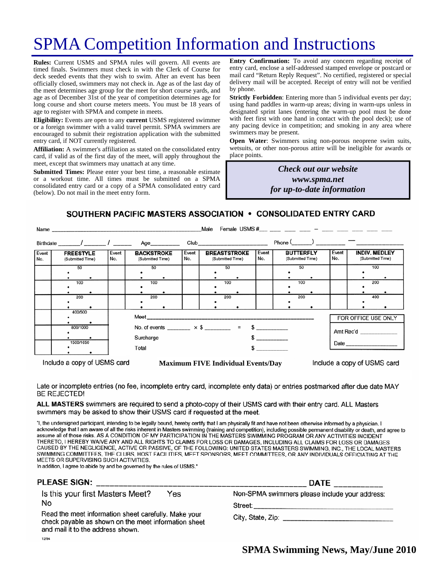# SPMA Competition Information and Instructions

**Rules:** Current USMS and SPMA rules will govern. All events are timed finals. Swimmers must check in with the Clerk of Course for deck seeded events that they wish to swim. After an event has been officially closed, swimmers may not check in. Age as of the last day of the meet determines age group for the meet for short course yards, and age as of December 31st of the year of competition determines age for long course and short course meters meets. You must be 18 years of age to register with SPMA and compete in meets.

**Eligibility:** Events are open to any **current** USMS registered swimmer or a foreign swimmer with a valid travel permit. SPMA swimmers are encouraged to submit their registration application with the submitted entry card, if NOT currently registered.

**Affiliation:** A swimmer's affiliation as stated on the consolidated entry card, if valid as of the first day of the meet, will apply throughout the meet, except that swimmers may unattach at any time.

**Submitted Times:** Please enter your best time, a reasonable estimate or a workout time. All times must be submitted on a SPMA consolidated entry card or a copy of a SPMA consolidated entry card (below). Do not mail in the meet entry form.

**Entry Confirmation:** To avoid any concern regarding receipt of entry card, enclose a self-addressed stamped envelope or postcard or mail card "Return Reply Request". No certified, registered or special delivery mail will be accepted. Receipt of entry will not be verified by phone.

**Strictly Forbidden**: Entering more than 5 individual events per day; using hand paddles in warm-up areas; diving in warm-ups unless in designated sprint lanes (entering the warm-up pool must be done with feet first with one hand in contact with the pool deck); use of any pacing device in competition; and smoking in any area where swimmers may be present.

**Open Water**: Swimmers using non-porous neoprene swim suits, wetsuits, or other non-porous attire will be ineligible for awards or place points.

> *Check out our website www.spma.net for up-to-date information*

### SOUTHERN PACIFIC MASTERS ASSOCIATION • CONSOLIDATED ENTRY CARD

|                                      |                                                            |                                       |              | Male                                                       |                     |                                      |                                                                       |
|--------------------------------------|------------------------------------------------------------|---------------------------------------|--------------|------------------------------------------------------------|---------------------|--------------------------------------|-----------------------------------------------------------------------|
|                                      |                                                            |                                       |              |                                                            |                     | $Phone ($ $)$ $  -$                  |                                                                       |
| <b>FREESTYLE</b><br>(Submitted Time) | Event<br>No.                                               | <b>BACKSTROKE</b><br>(Submitted Time) | Event<br>No. | <b>BREASTSTROKE</b><br>(Submitted Time)                    | Event<br>No.        | <b>BUTTERFLY</b><br>(Submitted Time) | Event<br><b>INDIV. MEDLEY</b><br>No.<br>(Submitted Time)              |
| 50                                   |                                                            | 50                                    |              | 50                                                         |                     | 50                                   | 100                                                                   |
| 100                                  |                                                            | 100                                   |              | 100                                                        |                     | 100                                  | 200                                                                   |
| 200                                  |                                                            | 200                                   |              | 200                                                        |                     | 200                                  | 400                                                                   |
| 400/500                              |                                                            |                                       |              |                                                            | FOR OFFICE USE ONLY |                                      |                                                                       |
| 800/1000                             | No. of events ________ $\times$ \$ ________ = \$ _________ |                                       |              |                                                            | Amt Rec'd           |                                      |                                                                       |
| 1500/1650<br>Total                   |                                                            |                                       |              |                                                            |                     |                                      |                                                                       |
|                                      |                                                            |                                       | Surcharge    | Name<br>Birthdate _______/ ________/ ________ Age_________ |                     |                                      | Female USMS #___ ___ ___ ___ _ ___ - ___ ___ ____ ____ ____<br>$\sim$ |

Include a copy of USMS card

**Maximum FIVE Individual Events/Day** 

Include a copy of USMS card

Late or incomplete entries (no fee, incomplete entry card, incomplete enty data) or entries postmarked after due date MAY **BE REJECTED!** 

ALL MASTERS swimmers are required to send a photo-copy of their USMS card with their entry card. ALL Masters swimmers may be asked to show their USMS card if requested at the meet.

"I, the undersigned participant, intending to be legally bound, hereby certify that I am physically fit and have not been otherwise informed by a physician. I acknowledge that I am aware of all the risks inherent in Masters swimming (training and competition), including possible permanent disability or death, and agree to assume all of those risks. AS A CONDITION OF MY PARTICIPATION IN THE MASTERS SWIMMING PROGRAM OR ANY ACTIVITIES INCIDENT THERETO, I HEREBY WAIVE ANY AND ALL RIGHTS TO CLAIMS FOR LOSS OR DAMAGES, INCLUDING ALL CLAIMS FOR LOSS OR DAMAGES CAUSED BY THE NEGLIGENCE, ACTIVE OR PASSIVE, OF THE FOLLOWING: UNITED STATES MASTERS SWIMMING, INC., THE LOCAL MASTERS SWIMMING COMMITTEES, THE CLUBS, HOST FACILITIES, MEET SPONSORS, MEET COMMITTEES, OR ANY INDIVIDUALS OFFICIATING AT THE MEETS OR SUPERVISING SUCH ACTIVITIES.

In addition, I agree to abide by and be governed by the rules of USMS."

### **PLEASE SIGN:**

Is this your first Masters Meet? Yes No

Read the meet information sheet carefully. Make your check payable as shown on the meet information sheet and mail it to the address shown. 12/94

| <b>DATE</b><br>the company of the company of the company of the company of the company of the company of |  |
|----------------------------------------------------------------------------------------------------------|--|
| Non-SPMA swimmers please include your address:                                                           |  |

Street:

City, State, Zip: City, State, 2014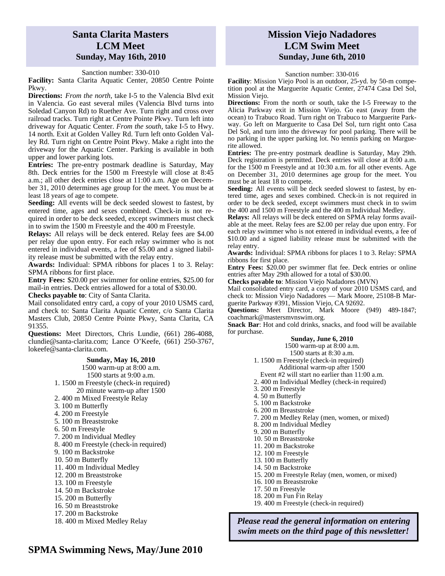### **Santa Clarita Masters LCM Meet Sunday, May 16th, 2010**

#### Sanction number: 330-010

Facility: Santa Clarita Aquatic Center, 20850 Centre Pointe Pkwy.

**Directions:** *From the north*, take I-5 to the Valencia Blvd exit in Valencia. Go east several miles (Valencia Blvd turns into Soledad Canyon Rd) to Ruether Ave. Turn right and cross over railroad tracks. Turn right at Centre Pointe Pkwy. Turn left into driveway for Aquatic Center. *From the south*, take I-5 to Hwy. 14 north. Exit at Golden Valley Rd. Turn left onto Golden Valley Rd. Turn right on Centre Point Pkwy. Make a right into the driveway for the Aquatic Center. Parking is available in both upper and lower parking lots.

**Entries:** The pre-entry postmark deadline is Saturday, May 8th. Deck entries for the 1500 m Freestyle will close at 8:45 a.m.; all other deck entries close at 11:00 a.m. Age on December 31, 2010 determines age group for the meet. You must be at least 18 years of age to compete.

**Seeding:** All events will be deck seeded slowest to fastest, by entered time, ages and sexes combined. Check-in is not required in order to be deck seeded, except swimmers must check in to swim the 1500 m Freestyle and the 400 m Freestyle.

**Relays:** All relays will be deck entered. Relay fees are \$4.00 per relay due upon entry. For each relay swimmer who is not entered in individual events, a fee of \$5.00 and a signed liability release must be submitted with the relay entry.

**Awards:** Individual: SPMA ribbons for places 1 to 3. Relay: SPMA ribbons for first place.

**Entry Fees:** \$20.00 per swimmer for online entries, \$25.00 for mail-in entries. Deck entries allowed for a total of \$30.00.

**Checks payable to**: City of Santa Clarita.

Mail consolidated entry card, a copy of your 2010 USMS card, and check to: Santa Clarita Aquatic Center, c/o Santa Clarita Masters Club, 20850 Centre Pointe Pkwy, Santa Clarita, CA 91355.

**Questions:** Meet Directors, Chris Lundie, (661) 286-4088, clundie@santa-clarita.com; Lance O'Keefe, (661) 250-3767, lokeefe@santa-clarita.com.

#### **Sunday, May 16, 2010**

1500 warm-up at 8:00 a.m.

1500 starts at 9:00 a.m.

- 1. 1500 m Freestyle (check-in required) 20 minute warm-up after 1500
- 2. 400 m Mixed Freestyle Relay
- 3. 100 m Butterfly
- 4. 200 m Freestyle
- 
- 5. 100 m Breaststroke
- 6. 50 m Freestyle
- 7. 200 m Individual Medley
- 8. 400 m Freestyle (check-in required)
- 9. 100 m Backstroke
- 10. 50 m Butterfly
- 11. 400 m Individual Medley
- 12. 200 m Breaststroke
- 13. 100 m Freestyle
- 14. 50 m Backstroke
- 15. 200 m Butterfly
- 16. 50 m Breaststroke
- 17. 200 m Backstroke
- 18. 400 m Mixed Medley Relay

### **Mission Viejo Nadadores LCM Swim Meet Sunday, June 6th, 2010**

#### Sanction number: 330-016

**Facility**: Mission Viejo Pool is an outdoor, 25-yd. by 50-m competition pool at the Marguerite Aquatic Center, 27474 Casa Del Sol, Mission Viejo.

**Directions:** From the north or south, take the I-5 Freeway to the Alicia Parkway exit in Mission Viejo. Go east (away from the ocean) to Trabuco Road. Turn right on Trabuco to Marguerite Parkway. Go left on Marguerite to Casa Del Sol, turn right onto Casa Del Sol, and turn into the driveway for pool parking. There will be no parking in the upper parking lot. No tennis parking on Marguerite allowed.

**Entries:** The pre-entry postmark deadline is Saturday, May 29th. Deck registration is permitted. Deck entries will close at 8:00 a.m. for the 1500 m Freestyle and at 10:30 a.m. for all other events. Age on December 31, 2010 determines age group for the meet. You must be at least 18 to compete.

Seeding: All events will be deck seeded slowest to fastest, by entered time, ages and sexes combined. Check-in is not required in order to be deck seeded, except swimmers must check in to swim the 400 and 1500 m Freestyle and the 400 m Individual Medley.

**Relays:** All relays will be deck entered on SPMA relay forms available at the meet. Relay fees are \$2.00 per relay due upon entry. For each relay swimmer who is not entered in individual events, a fee of \$10.00 and a signed liability release must be submitted with the relay entry.

**Awards:** Individual: SPMA ribbons for places 1 to 3. Relay: SPMA ribbons for first place.

**Entry Fees:** \$20.00 per swimmer flat fee. Deck entries or online entries after May 29th allowed for a total of \$30.00.

**Checks payable to**: Mission Viejo Nadadores (MVN)

Mail consolidated entry card, a copy of your 2010 USMS card, and check to: Mission Viejo Nadadores — Mark Moore, 25108-B Marguerite Parkway #391, Mission Viejo, CA 92692.

**Questions:** Meet Director, Mark Moore (949) 489-1847; coachmark@mastersmvnswim.org.

**Snack Bar**: Hot and cold drinks, snacks, and food will be available for purchase.

#### **Sunday, June 6, 2010**

1500 warm-up at 8:00 a.m.

- 1500 starts at 8:30 a.m.
- 1. 1500 m Freestyle (check-in required)
	- Additional warm-up after 1500
- Event #2 will start no earlier than 11:00 a.m.
- 2. 400 m Individual Medley (check-in required)
- 3. 200 m Freestyle
- 4. 50 m Butterfly
- 5. 100 m Backstroke
- 6. 200 m Breaststroke
- 7. 200 m Medley Relay (men, women, or mixed)
- 8. 200 m Individual Medley
- 9. 200 m Butterfly
- 10. 50 m Breaststroke
- 11. 200 m Backstroke
- 12. 100 m Freestyle
- 13. 100 m Butterfly
- 14. 50 m Backstroke
- 15. 200 m Freestyle Relay (men, women, or mixed)
- 16. 100 m Breaststroke
- 17. 50 m Freestyle
- 18. 200 m Fun Fin Relay
- 19. 400 m Freestyle (check-in required)

### *Please read the general information on entering swim meets on the third page of this newsletter!*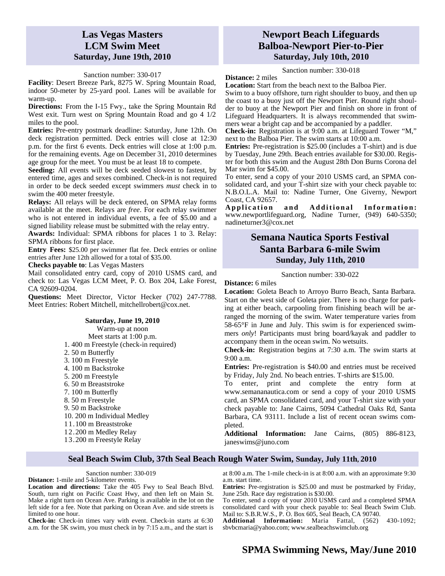### **Las Vegas Masters LCM Swim Meet Saturday, June 19th, 2010**

#### Sanction number: 330-017

**Facility**: Desert Breeze Park, 8275 W. Spring Mountain Road, indoor 50-meter by 25-yard pool. Lanes will be available for warm-up.

**Directions:** From the I-15 Fwy., take the Spring Mountain Rd West exit. Turn west on Spring Mountain Road and go 4 1/2 miles to the pool.

**Entries:** Pre-entry postmark deadline: Saturday, June 12th. On deck registration permitted. Deck entries will close at 12:30 p.m. for the first 6 events. Deck entries will close at 1:00 p.m. for the remaining events. Age on December 31, 2010 determines age group for the meet. You must be at least 18 to compete.

**Seeding:** All events will be deck seeded slowest to fastest, by entered time, ages and sexes combined. Check-in is not required in order to be deck seeded except swimmers *must* check in to swim the 400 meter freestyle.

**Relays:** All relays will be deck entered, on SPMA relay forms available at the meet. Relays are *free*. For each relay swimmer who is not entered in individual events, a fee of \$5.00 and a signed liability release must be submitted with the relay entry.

**Awards:** Individual: SPMA ribbons for places 1 to 3. Relay: SPMA ribbons for first place.

**Entry Fees:** \$25.00 per swimmer flat fee. Deck entries or online entries after June 12th allowed for a total of \$35.00.

**Checks payable to**: Las Vegas Masters

Mail consolidated entry card, copy of 2010 USMS card, and check to: Las Vegas LCM Meet, P. O. Box 204, Lake Forest, CA 92609-0204.

**Questions:** Meet Director, Victor Hecker (702) 247-7788. Meet Entries: Robert Mitchell, mitchellrobert@cox.net.

#### **Saturday, June 19, 2010**

Warm-up at noon Meet starts at 1:00 p.m. 1. 400 m Freestyle (check-in required) 2. 50 m Butterfly 3. 100 m Freestyle 4. 100 m Backstroke 5. 200 m Freestyle 6. 50 m Breaststroke 7. 100 m Butterfly 8. 50 m Freestyle 9. 50 m Backstroke 10. 200 m Individual Medley 11.100 m Breaststroke 12.200 m Medley Relay 13.200 m Freestyle Relay

### **Newport Beach Lifeguards Balboa-Newport Pier-to-Pier Saturday, July 10th, 2010**

Sanction number: 330-018

**Distance:** 2 miles

**Location:** Start from the beach next to the Balboa Pier. Swim to a buoy offshore, turn right shoulder to buoy, and then up the coast to a buoy just off the Newport Pier. Round right shoulder to buoy at the Newport Pier and finish on shore in front of Lifeguard Headquarters. It is always recommended that swimmers wear a bright cap and be accompanied by a paddler.

**Check-in:** Registration is at 9:00 a.m. at Lifeguard Tower "M," next to the Balboa Pier. The swim starts at 10:00 a.m.

**Entries:** Pre-registration is \$25.00 (includes a T-shirt) and is due by Tuesday, June 29th. Beach entries available for \$30.00. Register for both this swim and the August 28th Don Burns Corona del Mar swim for \$45.00.

To enter, send a copy of your 2010 USMS card, an SPMA consolidated card, and your T-shirt size with your check payable to: N.B.O.L.A. Mail to: Nadine Turner, One Giverny, Newport

Coast, CA 92657.<br>Application and Additional Information: www.newportlifeguard.org, Nadine Turner, (949) 640-5350; nadineturner3@cox.net

### **Semana Nautica Sports Festival Santa Barbara 6-mile Swim Sunday, July 11th, 2010**

#### Sanction number: 330-022

#### **Distance:** 6 miles

**Location:** Goleta Beach to Arroyo Burro Beach, Santa Barbara. Start on the west side of Goleta pier. There is no charge for parking at either beach, carpooling from finishing beach will be arranged the morning of the swim. Water temperature varies from 58-65°F in June and July. This swim is for experienced swimmers *only*! Participants must bring board/kayak and paddler to accompany them in the ocean swim. No wetsuits.

**Check-in:** Registration begins at 7:30 a.m. The swim starts at 9:00 a.m.

**Entries:** Pre-registration is \$40.00 and entries must be received by Friday, July 2nd. No beach entries. T-shirts are \$15.00.

To enter, print and complete the entry form at www.semananautica.com or send a copy of your 2010 USMS card, an SPMA consolidated card, and your T-shirt size with your check payable to: Jane Cairns, 5094 Cathedral Oaks Rd, Santa Barbara, CA 93111. Include a list of recent ocean swims completed.

**Additional Information:** Jane Cairns, (805) 886-8123, janeswims@juno.com

### **Seal Beach Swim Club, 37th Seal Beach Rough Water Swim, Sunday, July 11th, 2010**

#### Sanction number: 330-019

**Distance:** 1-mile and 5-kilometer events.

**Location and directions:** Take the 405 Fwy to Seal Beach Blvd. South, turn right on Pacific Coast Hwy, and then left on Main St. Make a right turn on Ocean Ave. Parking is available in the lot on the left side for a fee. Note that parking on Ocean Ave. and side streets is limited to one hour.

**Check-in:** Check-in times vary with event. Check-in starts at 6:30 a.m. for the 5K swim, you must check in by 7:15 a.m., and the start is at 8:00 a.m. The 1-mile check-in is at 8:00 a.m. with an approximate 9:30 a.m. start time.

**Entries:** Pre-registration is \$25.00 and must be postmarked by Friday, June 25th. Race day registration is \$30.00.

To enter, send a copy of your 2010 USMS card and a completed SPMA consolidated card with your check payable to: Seal Beach Swim Club. Mail to: S.B.R.W.S., P. O. Box 605, Seal Beach, CA 90740.

**Additional Information:** Maria Fattal, (562) 430-1092; sbvbcmaria@yahoo.com; www.sealbeachswimclub.org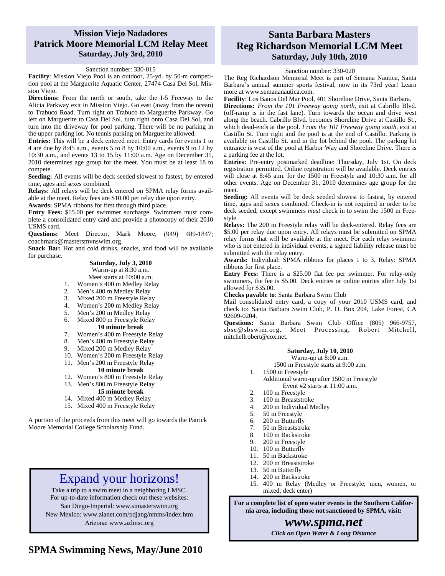### **Mission Viejo Nadadores Patrick Moore Memorial LCM Relay Meet Saturday, July 3rd, 2010**

#### Sanction number: 330-015

**Facility**: Mission Viejo Pool is an outdoor, 25-yd. by 50-m competition pool at the Marguerite Aquatic Center, 27474 Casa Del Sol, Mission Viejo.

**Directions:** From the north or south, take the I-5 Freeway to the Alicia Parkway exit in Mission Viejo. Go east (away from the ocean) to Trabuco Road. Turn right on Trabuco to Marguerite Parkway. Go left on Marguerite to Casa Del Sol, turn right onto Casa Del Sol, and turn into the driveway for pool parking. There will be no parking in the upper parking lot. No tennis parking on Marguerite allowed.

**Entries:** This will be a deck entered meet. Entry cards for events 1 to 4 are due by 8:45 a.m., events 5 to 8 by 10:00 a.m., events 9 to 12 by 10:30 a.m., and events 13 to 15 by 11:00 a.m. Age on December 31, 2010 determines age group for the meet. You must be at least 18 to compete.

**Seeding:** All events will be deck seeded slowest to fastest, by entered time, ages and sexes combined.

**Relays:** All relays will be deck entered on SPMA relay forms available at the meet. Relay fees are \$10.00 per relay due upon entry.

**Awards:** SPMA ribbons for first through third place.

**Entry Fees:** \$15.00 per swimmer surcharge. Swimmers must complete a consolidated entry card and provide a photocopy of their 2010 USMS card.

**Questions:** Meet Director, Mark Moore, (949) 489-1847; coachmark@mastersmvnswim.org.

**Snack Bar:** Hot and cold drinks, snacks, and food will be available for purchase.

#### **Saturday, July 3, 2010**  Warm-up at 8:30 a.m. Meet starts at 10:00 a.m.

- 1. Women's 400 m Medley Relay
- 2. Men's 400 m Medley Relay
- 3. Mixed 200 m Freestyle Relay
- 4. Women's 200 m Medley Relay
- 5. Men's 200 m Medley Relay
- 6. Mixed 800 m Freestyle Relay **10 minute break**
- 7. Women's 400 m Freestyle Relay
- 8. Men's 400 m Freestyle Relay
- 9. Mixed 200 m Medley Relay
- 10. Women's 200 m Freestyle Relay
- 11. Men's 200 m Freestyle Relay
	- - **10 minute break**
- 12. Women's 800 m Freestyle Relay
- 13. Men's 800 m Freestyle Relay

### **15 minute break**

- 14. Mixed 400 m Medley Relay
- 15. Mixed 400 m Freestyle Relay

A portion of the proceeds from this meet will go towards the Patrick Moore Memorial College Scholarship Fund.

## Expand your horizons!

Take a trip to a swim meet in a neighboring LMSC. For up-to-date information check out these websites:

San Diego-Imperial: www.simasterswim.org New Mexico: www.zianet.com/pdjang/nmms/index.htm

Arizona: www.azlmsc.org

### **Santa Barbara Masters Reg Richardson Memorial LCM Meet Saturday, July 10th, 2010**

### Sanction number: 330-020

The Reg Richardson Memorial Meet is part of Semana Nautica, Santa Barbara's annual summer sports festival, now in its 73rd year! Learn more at www.semananautica.com.

**Facility**: Los Banos Del Mar Pool, 401 Shoreline Drive, Santa Barbara.

**Directions:** *From the 101 Freeway going north*, exit at Cabrillo Blvd. (off-ramp is in the fast lane). Turn towards the ocean and drive west along the beach. Cabrillo Blvd. becomes Shoreline Drive at Castillo St., which dead-ends at the pool. *From the 101 Freeway going south*, exit at Castillo St. Turn right and the pool is at the end of Castillo. Parking is available on Castillo St. and in the lot behind the pool. The parking lot entrance is west of the pool at Harbor Way and Shoreline Drive. There is a parking fee at the lot.

**Entries:** Pre-entry postmarked deadline: Thursday, July 1st. On deck registration permitted. Online registration will be available. Deck entries will close at 8:45 a.m. for the 1500 m Freestyle and 10:30 a.m. for all other events. Age on December 31, 2010 determines age group for the meet.

**Seeding:** All events will be deck seeded slowest to fastest, by entered time, ages and sexes combined. Check-in is not required in order to be deck seeded, except swimmers *must* check in to swim the 1500 m Freestyle.

**Relays:** The 200 m Freestyle relay will be deck-entered. Relay fees are \$5.00 per relay due upon entry. All relays must be submitted on SPMA relay forms that will be available at the meet. For each relay swimmer who is not entered in individual events, a signed liability release must be submitted with the relay entry.

**Awards:** Individual: SPMA ribbons for places 1 to 3. Relay: SPMA ribbons for first place.

**Entry Fees:** There is a \$25.00 flat fee per swimmer. For relay-only swimmers, the fee is \$5.00. Deck entries or online entries after July 1st allowed for \$35.00.

**Checks payable to**: Santa Barbara Swim Club

Mail consolidated entry card, a copy of your 2010 USMS card, and check to: Santa Barbara Swim Club, P. O. Box 204, Lake Forest, CA 92609-0204.

**Questions:** Santa Barbara Swim Club Office (805) 966-9757, sbsc@sbswim.org. Meet Processing, Robert Mitchell, mitchellrobert@cox.net.

### **Saturday, July 10, 2010**

Warm-up at 8:00 a.m. 1500 m Freestyle starts at 9:00 a.m.

- 1. 1500 m Freestyle
	- Additional warm-up after 1500 m Freestyle Event #2 starts at 11:00 a.m.
	-
- 2. 100 m Freestyle<br>3. 100 m Breaststro 100 m Breaststroke
- 4. 200 m Individual Medley
- 5. 50 m Freestyle
- 6. 200 m Butterfly
- 7. 50 m Breaststroke
- 8. 100 m Backstroke
- 9. 200 m Freestyle
- 10. 100 m Butterfly
- 11. 50 m Backstroke
- 12. 200 m Breaststroke
- 13. 50 m Butterfly
- 14. 200 m Backstroke
- 15. 400 m Relay (Medley or Freestyle; men, women, or mixed; deck enter)

**For a complete list of open water events in the Southern California area, including those not sanctioned by SPMA, visit:** 

*www.spma.net* 

*Click on Open Water & Long Distance*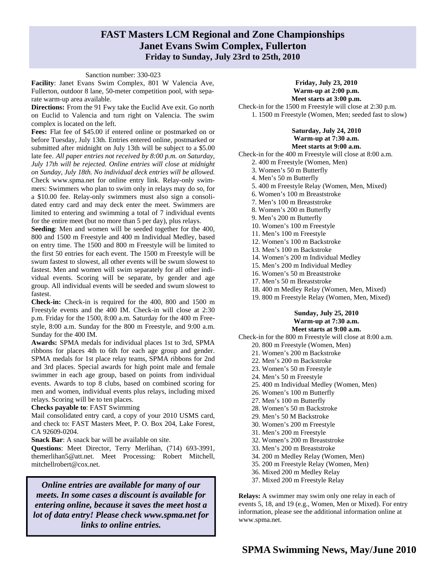### **FAST Masters LCM Regional and Zone Championships Janet Evans Swim Complex, Fullerton Friday to Sunday, July 23rd to 25th, 2010**

#### Sanction number: 330-023

**Facility**: Janet Evans Swim Complex, 801 W Valencia Ave, Fullerton, outdoor 8 lane, 50-meter competition pool, with separate warm-up area available.

**Directions:** From the 91 Fwy take the Euclid Ave exit. Go north on Euclid to Valencia and turn right on Valencia. The swim complex is located on the left.

**Fees:** Flat fee of \$45.00 if entered online or postmarked on or before Tuesday, July 13th. Entries entered online, postmarked or submitted after midnight on July 13th will be subject to a \$5.00 late fee. *All paper entries not received by 8:00 p.m. on Saturday, July 17th will be rejected. Online entries will close at midnight on Sunday, July 18th. No individual deck entries will be allowed.*  Check www.spma.net for online entry link. Relay-only swimmers: Swimmers who plan to swim only in relays may do so, for a \$10.00 fee. Relay-only swimmers must also sign a consolidated entry card and may deck enter the meet. Swimmers are limited to entering and swimming a total of 7 individual events for the entire meet (but no more than 5 per day), plus relays.

**Seeding**: Men and women will be seeded together for the 400, 800 and 1500 m Freestyle and 400 m Individual Medley, based on entry time. The 1500 and 800 m Freestyle will be limited to the first 50 entries for each event. The 1500 m Freestyle will be swum fastest to slowest, all other events will be swum slowest to fastest. Men and women will swim separately for all other individual events. Scoring will be separate, by gender and age group. All individual events will be seeded and swum slowest to fastest.

**Check-in:** Check-in is required for the 400, 800 and 1500 m Freestyle events and the 400 IM. Check-in will close at 2:30 p.m. Friday for the 1500, 8:00 a.m. Saturday for the 400 m Freestyle, 8:00 a.m. Sunday for the 800 m Freestyle, and 9:00 a.m. Sunday for the 400 IM.

**Awards:** SPMA medals for individual places 1st to 3rd, SPMA ribbons for places 4th to 6th for each age group and gender. SPMA medals for 1st place relay teams, SPMA ribbons for 2nd and 3rd places. Special awards for high point male and female swimmer in each age group, based on points from individual events. Awards to top 8 clubs, based on combined scoring for men and women, individual events plus relays, including mixed relays. Scoring will be to ten places.

**Checks payable to**: FAST Swimming

Mail consolidated entry card, a copy of your 2010 USMS card, and check to: FAST Masters Meet, P. O. Box 204, Lake Forest, CA 92609-0204.

**Snack Bar**: A snack bar will be available on site.

**Questions**: Meet Director, Terry Merlihan, (714) 693-3991, themerlihan5@att.net. Meet Processing: Robert Mitchell, mitchellrobert@cox.net.

*Online entries are available for many of our meets. In some cases a discount is available for entering online, because it saves the meet host a lot of data entry! Please check www.spma.net for links to online entries.* 

#### **Friday, July 23, 2010 Warm-up at 2:00 p.m. Meet starts at 3:00 p.m.**

Check-in for the 1500 m Freestyle will close at 2:30 p.m. 1. 1500 m Freestyle (Women, Men; seeded fast to slow)

#### **Saturday, July 24, 2010 Warm-up at 7:30 a.m. Meet starts at 9:00 a.m.**

Check-in for the 400 m Freestyle will close at 8:00 a.m.

- 2. 400 m Freestyle (Women, Men)
- 3. Women's 50 m Butterfly
- 4. Men's 50 m Butterfly 5. 400 m Freestyle Relay (Women, Men, Mixed)
- 6. Women's 100 m Breaststroke
- 7. Men's 100 m Breaststroke
- 8. Women's 200 m Butterfly
- 9. Men's 200 m Butterfly
- 10. Women's 100 m Freestyle
- 11. Men's 100 m Freestyle
- 12. Women's 100 m Backstroke
- 13. Men's 100 m Backstroke
- 14. Women's 200 m Individual Medley
- 15. Men's 200 m Individual Medley
- 16. Women's 50 m Breaststroke
- 17. Men's 50 m Breaststroke
- 18. 400 m Medley Relay (Women, Men, Mixed)
- 19. 800 m Freestyle Relay (Women, Men, Mixed)

### **Sunday, July 25, 2010 Warm-up at 7:30 a.m. Meet starts at 9:00 a.m.**

Check-in for the 800 m Freestyle will close at 8:00 a.m.

- 20. 800 m Freestyle (Women, Men)
- 21. Women's 200 m Backstroke
- 22. Men's 200 m Backstroke
- 23. Women's 50 m Freestyle
- 24. Men's 50 m Freestyle
- 25. 400 m Individual Medley (Women, Men)
- 26. Women's 100 m Butterfly
- 27. Men's 100 m Butterfly
- 28. Women's 50 m Backstroke
- 29. Men's 50 M Backstroke
- 30. Women's 200 m Freestyle
- 31. Men's 200 m Freestyle
- 32. Women's 200 m Breaststroke
- 33. Men's 200 m Breaststroke
- 34. 200 m Medley Relay (Women, Men)
- 35. 200 m Freestyle Relay (Women, Men)
- 36. Mixed 200 m Medley Relay
- 37. Mixed 200 m Freestyle Relay

**Relays:** A swimmer may swim only one relay in each of events 5, 18, and 19 (e.g., Women, Men or Mixed). For entry information, please see the additional information online at www.spma.net.